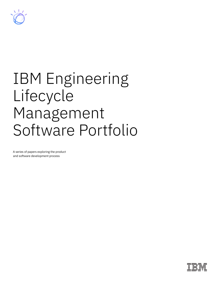

# IBM Engineering Lifecycle Management Software Portfolio

A series of papers exploring the product and software development process

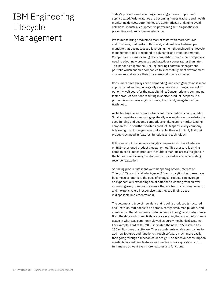# IBM Engineering Lifecycle Management

Today's products are becoming increasingly more complex and sophisticated. Wrist watches are becoming fitness trackers and health monitoring devices, automobiles are automatically braking to avoid collisions, industrial equipment is performing self-diagnostics for preventive and predictive maintenance.

Pressures to bring products to market faster with more features and functions, that perform flawlessly and cost less to develop mandate that businesses are leveraging the right engineering lifecycle management tools to respond to a dynamic and impatient market. Competitive pressures and global competition means that companies need to adopt new processes and practices sooner rather than later. This paper highlights the IBM Engineering Lifecycle Management portfolio which enables companies to successfully meet development challenges and evolve their processes and practices faster.

Consumers have always been demanding, and each generation is more sophisticated and technologically savvy. We are no longer content to patiently wait years for the next big thing. Consumerism is demanding faster product iterations resulting in shorter product lifespans. If a product is not an over-night success, it is quickly relegated to the trash heap.

As technology becomes more transient, the situation is compounded. Small competitors can spring up literally over-night, secure substantial seed funding and become competitive challengers to market leading companies. This further shortens product lifespans; every company is learning that if they get too comfortable, they will quickly find their products eclipsed in features, functions and technology.

If this were not challenging enough, companies still have to deliver on ROI—shortened product lifespan or not. This pressure is driving companies to launch products in multiple markets across the globe in the hopes of recovering development costs earlier and accelerating revenue realization.

Shrinking product lifespans were happening before Internet of Things (IoT) or artificial intelligence (AI) and analytics, but these have become accelerants to the pace of change. Products can leverage an exponentially expanding sea of data that is coming from an ever increasing array of microprocessors that are becoming more powerful and inexpensive (so inexpensive that they are finding uses in disposable implementations).

The volume and type of new data that is being produced (structured and unstructured) needs to be parsed, categorized, manipulated, and identified so that it becomes useful in product design and performance. Both the data and connectivity are accelerating the amount of software usage in what was commonly viewed as purely mechanical systems. For example, Ford at CES2016 indicated the new F-150 Pickup has 150 million lines of software. These accelerants enable companies to add new features and functions through software much more easily than going through a mechanical redesign. This feeds our consumption mentality; we get new features and functions more quickly which in turn makes us want even more features and functions.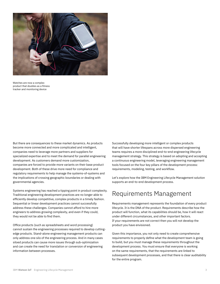

Watches are now a complex product that doubles as a fitness tracker and monitoring device

But there are consequences to these market dynamics. As products become more connected and more complicated and intelligent, companies need to leverage more partners and suppliers for specialized expertise and to meet the demand for parallel engineering development. As customers demand more customization, companies are forced to provide more variants on their base product development. Both of these drive more need for compliance and regulatory requirements to help manage the systems-of-systems and the implications of crossing geographic boundaries or dealing with governmental agencies.

Systems engineering has reached a tipping point in product complexity. Traditional engineering development practices are no longer able to efficiently develop competitive, complex products in a timely fashion. Sequential or linear development practices cannot successfully address these challenges. Companies cannot afford to hire more engineers to address growing complexity, and even if they could, they would not be able to find them.

Office products (such as spreadsheets and word processing) cannot sustain the engineering processes required to develop cuttingedge products. Stand-alone engineering management products can only address one silo of the engineering process. And in many cases siloed products can cause more issues through sub-optimization and can create the need for translation or conversion of engineering information between processes.

Successfully developing more intelligent or complex products that will have shorter lifespans across more dispersed engineering teams requires a more disciplined end-to-end engineering lifecycle management strategy. This strategy is based on adopting and accepting a continuous engineering model, leveraging engineering management tools focused on the four key pillars of the development process: requirements, modeling, testing, and workflow.

Let's explore how the IBM Engineering Lifecycle Management solution supports an end-to-end development process.

## Requirements Management

Requirements management represents the foundation of every product lifecycle. It is the DNA of the product. Requirements describe how the product will function, what its capabilities should be, how it will react under different circumstances, and other important factors. If your requirements are not correct then you will not develop the product you have envisioned.

Given this importance, you not only need to create comprehensive requirements to properly define what the development team is going to build, but you must manage these requirements throughout the development process. You must ensure that everyone is working on the same requirements, that the requirements are linked to subsequent development processes, and that there is clear auditability for the entire program.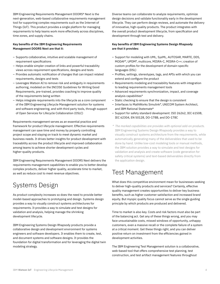IBM Engineering Requirements Management DOORS® Next is the next-generation, web-based collaborative requirements management tool for supporting complex requirements such as the Internet of Things (IoT). This product provides a single platform for managing requirements to help teams work more effectively across disciplines, time zones, and supply chains.

#### **Key benefits of the IBM Engineering Requirements Management DOORS Next are that it:**

- Supports collaborative, intuitive and scalable management of requirement specifications
- Helps enable simpler creation of links and powerful traceability views across requirement specifications, designs and tests
- Provides automatic notification of changes that can impact related requirements, designs and tests
- Leverages Watson AI to remove risk and ambiguity in requirements authoring, modeled on the INCOSE Guidelines for Writing Good Requirements, pre-trained, provides coaching to improve quality of the requirements being written
- Helps integrate requirements into the lifecycle as a core component of the IBM Engineering Lifecycle Management solution for systems and software engineering, and with third party tools, through support of Open Services for Lifecycle Collaboration (OSLC)

Requirements management serves as an essential practice and framework for product lifecycle management. Effective requirements management can save time and money by properly controlling project scope and staying on track to meet dynamic market and business needs. It drives better insights for product development with traceability across the product lifecycle and improved collaboration among teams to achieve shorter development cycles and higher-quality products.

IBM Engineering Requirements Management DOORS Next delivers the requirements management capabilities to enable you to better develop complex products, deliver higher quality, accelerate time to market, as well as reduce cost to meet revenue objectives.

# Systems Design

As product complexity increases so does the need to provide better model-based approaches to prototyping and design. Systems design provides a way to visually construct systems architectures for requirements. It provides a way to simulate and test designs for validation and analysis, helping manage the shrinking development lifecycle.

IBM Engineering Systems Design Rhapsody products provide a collaborative design and development environment for systems engineers and software developers. It enables them to create, test, and document systems and software designs. It provides the foundation for digital transformation and for leveraging the digital twin modeling strategy.

Diverse teams can collaborate to analyze requirements, optimize design decisions and validate functionality early in the development lifecycle. They can perform design reviews, and automate the delivery of innovative, high-quality products. The product integrates with the overall product development lifecycle, from specification and development through test and delivery.

#### **Key benefits of IBM Engineering Systems Design Rhapsody are that it provides:**

- Support for modeling with UML, SysML, AUTOSAR, MARTE, DDS, MODAF\*, UPDM\*, multicore, MISRA-C, MISRA-C++; creation of custom profiles for the development of domain-specific languages (DSL)
- Profiles, settings, stereotypes, tags, and APIs with which you can extend and configure the product
- Requirements modeling and traceability features with integration to leading requirements management tools
- Advanced requirements synchronization, impact, and coverage analysis capabilities\*
- Static checking to ensure that the design is consistent
- Interfaces to MathWorks Simulink\*, UNICOM System Architect, and IBM Rational Statemate®
- Support for safety standard development: ISO 26262, IEC 61508, IEC 62304, EN 50128, DO-178B, and DO-178C
- *\* The marked capabilities are provides with optional add-on products.* IBM Engineering Systems Design Rhapsody provides a way to visually construct systems architecture from the requirements, while automatically generating many of the deliverables that used to be done by hand. Unlike low-cost modeling tools or manual methods, the IBM solution provides a way to simulate and test designs for validation and analysis and create software (code generation for safety critical systems) and text-based deliverables directly from the application design.

# Test Management

What does this competitive environment mean for businesses seeking to deliver high-quality products and services? Certainly, effective quality management creates opportunities to deliver key business benefits, such as higher customer satisfaction and increased brand equity. But myopic quality focus cannot serve as the single guiding principle by which products are produced and delivered.

Time to market is also key. Costs and risk factors must also be part of the balancing act. Get any of these things wrong, and you may face unsustainable costs, missed windows of opportunity, unhappy customers, even a massive recall or the complete failure of a system at a critical moment. Get these things right, and you can deliver positive return on investment from the efficiencies gained in development activities.

The IBM Engineering Test Management solution is a collaborative, web-based tool that offers comprehensive test planning, test construction, and test artifact management features throughout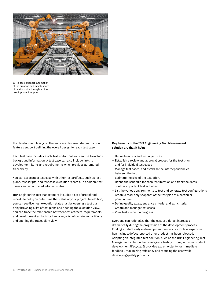

IBM's tools support automation of the creation and maintenance of relationships throughout the development lifecycle

the development lifecycle. The test case design-and-construction features support defining the overall design for each test case.

Each test case includes a rich-text editor that you can use to include background information. A test case can also include links to development items and requirements which provides automated traceability.

You can associate a test case with other test artifacts, such as test plans, test scripts, and test case execution records. In addition, test cases can be combined into test suites.

IBM Engineering Test Management includes a set of predefined reports to help you determine the status of your project. In addition, you can see live, test execution status just by opening a test plan, or by browsing a list of test plans and opening the execution view. You can trace the relationship between test artifacts, requirements, and development artifacts by browsing a list of certain test artifacts and opening the traceability view.

#### **Key benefits of the IBM Engineering Test Management solution are that it helps:**

- Define business and test objectives
- Establish a review and approval process for the test plan and for individual test cases
- Manage test cases, and establish the interdependencies between the two
- Estimate the size of the test effort
- Define the schedule for each test iteration and track the dates of other important test activities
- List the various environments to test and generate test configurations
- Create a read-only snapshot of the test plan at a particular point in time
- Define quality goals, entrance criteria, and exit criteria
- Create and manage test cases
- View test execution progress

Everyone can rationalize that the cost of a defect increases dramatically during the progression of the development process. Finding a defect early in development process is a lot less expensive han having a defect reported after product has been released. Adopting an integrated test solution, such as the IBM Engineering Test Management solution, helps integrate testing throughout your product development lifecycle. It provides extreme clarity for immediate feedback, maximizing efficiency and reducing the cost while developing quality products.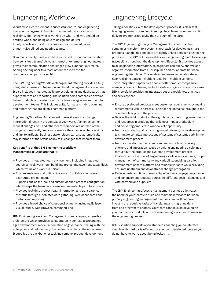# Engineering Workflow

Workflow is a core element in successful end-to-end engineering lifecycle management. Enabling meaningful collaboration in real-time, identifying who is working on what, and who should be notified when, and being able to design and deliver timely reports is critical to success across dispersed, large, or multi-disciplined engineering teams.

How many quality issues can be directly tied to poor communication between siloed teams? As your internal or external engineering team grows their communication challenges grow exponentially faster. Adding one engineer to a team of four can increase the communication paths by eight.

The IBM Engineering Workflow Management offering provides a fully integrated change, configuration and build management environment. It also includes integrated agile project planning and dashboards that supply metrics and reporting. The solution helps companies develop better products and systems with an all-in-one agile environment for development teams. This includes agile, formal and hybrid planning and reporting that are all on a common platform.

Engineering Workflow Management makes it easy to exchange information directly in the context of your work. If an enhancement request changes, you and other team members are notified of the change automatically. You can reference the change in chat sessions and link to artifacts. Business stakeholders can also automatically stay informed of the status of any task changes that interest them.

#### **Key benefits of the IBM Engineering Workflow Management solution are that it:**

- Provides an integrated team environment, including integrated source control, work item, build and project management capabilities which "think and work" in unison
- Enables real-time and offline "in-context" collaboration across distributed project teams
- Supports out-of-the-box and custom defined process configuration, which keeps the team on a consistent, repeatable path to success
- Provides real-time project health information and transparency of status through automated data gathering, web dashboards and metrics and reporting
- Provides a broad choice of client environments including Eclipse, Visual Studio, Web Browser, command-line

IBM Engineering Workflow Management offers an open, extensible architecture which provides collaboration in context, a streamlined agile development model, automation of governance, scaling with the enterprise, and help to unify diverse teams within in the enterprise. It supplies the backbone for tackling complex product development.

# Engineering Lifecycle

Taking a holistic view of the development process, it is clear that leveraging an end-to-end engineering lifecycle management solution delivers greater productivity than the sum of the parts.

The IBM Engineering Lifecycle Management portfolio can help companies transform to a systems approach for developing smart products. Capabilities and data are tightly linked between engineering processes. The IBM solution enables your engineering team to leverage traceability throughout the development lifecycle. It provides access to all engineering information, so engineers can query, analyze and organize information from all disciplines and collaborate between engineering disciplines. This enables engineers to collaborate in near real-time between multiple tools from multiple vendors. These integration capabilities enable better product compliance, managing teams to teams, visibility, agile and agile at scale processes. IBM's portfolio provides an integrated set of capabilities, practices and services that:

- Ensure developed products meet customer requirements by making requirements visible across all engineering domains throughout the complete lifecycle of the product
- Deliver the right product at the right time by prioritizing investments and resources in products that will most impact profitability, and delivering products in windows of opportunity
- Improve product quality by using model driven systems development to simulate complex interactions of systems of systems early in the development process
- Improve development efficiency and minimize late discovery of errors and integration issues by uniting engineering disciplines throughout the product and systems development process
- Enable effective re-use of engineering assets across variants, proper management of commonality and variability, enabling parallel development of core platform and multiple variants while providing accurate upstream and downstream change propagation
- Reduce costs and time to market by effectively propagating change and enhancement requests across the different design domains and with partners and suppliers

The IBM Engineering Lifecycle Management portfolio eliminates the need for your teams to build and maintain interfaces between primary engineering management functions. You will not have to invest in the repetitive tasks of translating and migrating data from one program to another. Your team can focus on developing your company's products and not maintaining tools used to manage the engineering process.

IBM's solution supports open standards enabling you to interface cleanly with third party offerings or your own developed tools so you do not have to worry about being locked in.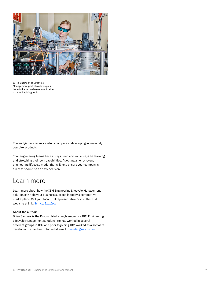

IBM's Engineering Lifecycle Management portfolio allows your team to focus on development rather than maintaining tools

The end game is to successfully compete in developing increasingly complex products.

Your engineering teams have always been and will always be learning and stretching their own capabilities. Adopting an end-to-end engineering lifecycle model that will help ensure your company's success should be an easy decision.

## Learn more

Learn more about how the IBM Engineering Lifecycle Management solution can help your business succeed in today's competitive marketplace[. Call your local IBM repr](https://www.ibm.com/internet-of-things/solutions/systems-engineering)esentative or visit the IBM web site at link: ibm.co/2xLzGkx

#### **About the author:**

Brian Sanders is the Product Marketing Manager for IBM Engineering Lifecycle Management solutions. He has worked in several different groups in IBM and prior to joining IBM worked as a software developer. He can be contacted at email: bsander@us.ibm.com